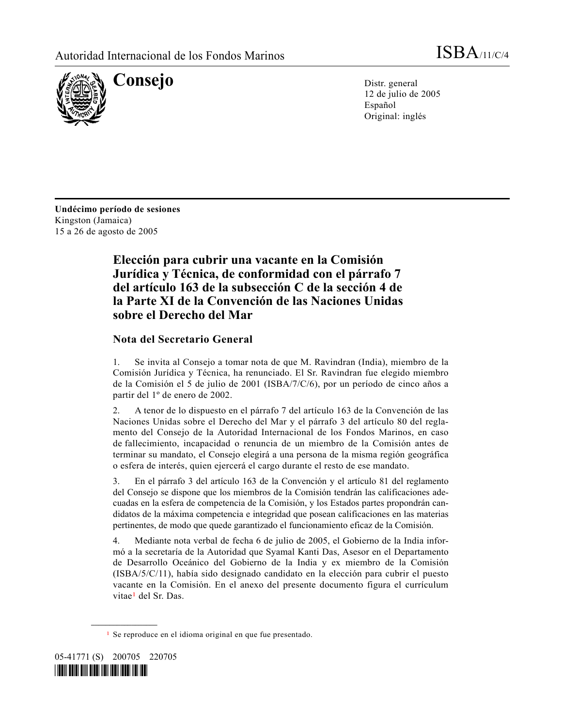

12 de julio de 2005 Español Original: inglés

**Undécimo período de sesiones** Kingston (Jamaica) 15 a 26 de agosto de 2005

# **Elección para cubrir una vacante en la Comisión Jurídica y Técnica, de conformidad con el párrafo 7 del artículo 163 de la subsección C de la sección 4 de la Parte XI de la Convención de las Naciones Unidas sobre el Derecho del Mar**

# **Nota del Secretario General**

1. Se invita al Consejo a tomar nota de que M. Ravindran (India), miembro de la Comisión Jurídica y Técnica, ha renunciado. El Sr. Ravindran fue elegido miembro de la Comisión el 5 de julio de 2001 (ISBA/7/C/6), por un período de cinco años a partir del 1º de enero de 2002.

2. A tenor de lo dispuesto en el párrafo 7 del artículo 163 de la Convención de las Naciones Unidas sobre el Derecho del Mar y el párrafo 3 del artículo 80 del reglamento del Consejo de la Autoridad Internacional de los Fondos Marinos, en caso de fallecimiento, incapacidad o renuncia de un miembro de la Comisión antes de terminar su mandato, el Consejo elegirá a una persona de la misma región geográfica o esfera de interés, quien ejercerá el cargo durante el resto de ese mandato.

3. En el párrafo 3 del artículo 163 de la Convención y el artículo 81 del reglamento del Consejo se dispone que los miembros de la Comisión tendrán las calificaciones adecuadas en la esfera de competencia de la Comisión, y los Estados partes propondrán candidatos de la máxima competencia e integridad que posean calificaciones en las materias pertinentes, de modo que quede garantizado el funcionamiento eficaz de la Comisión.

4. Mediante nota verbal de fecha 6 de julio de 2005, el Gobierno de la India informó a la secretaría de la Autoridad que Syamal Kanti Das, Asesor en el Departamento de Desarrollo Oceánico del Gobierno de la India y ex miembro de la Comisión (ISBA/5/C/11), había sido designado candidato en la elección para cubrir el puesto vacante en la Comisión. En el anexo del presente documento figura el currículum vitae<sup>1</sup> del Sr. Das.

<sup>1</sup> Se reproduce en el idioma original en que fue presentado.



<span id="page-0-0"></span>**\_\_\_\_\_\_\_\_\_\_\_\_\_\_\_\_\_\_**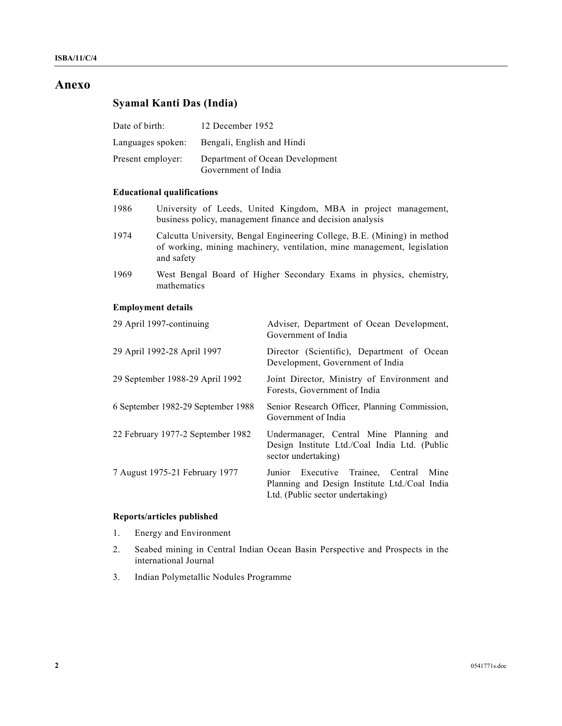# **Anexo**

# **Syamal Kanti Das (India)**

| Date of birth:    | 12 December 1952                                       |
|-------------------|--------------------------------------------------------|
| Languages spoken: | Bengali, English and Hindi                             |
| Present employer: | Department of Ocean Development<br>Government of India |

# **Educational qualifications**

- 1986 University of Leeds, United Kingdom, MBA in project management, business policy, management finance and decision analysis
- 1974 Calcutta University, Bengal Engineering College, B.E. (Mining) in method of working, mining machinery, ventilation, mine management, legislation and safety
- 1969 West Bengal Board of Higher Secondary Exams in physics, chemistry, mathematics

## **Employment details**

| 29 April 1997-continuing           | Adviser, Department of Ocean Development,<br>Government of India                                                               |
|------------------------------------|--------------------------------------------------------------------------------------------------------------------------------|
| 29 April 1992-28 April 1997        | Director (Scientific), Department of Ocean<br>Development, Government of India                                                 |
| 29 September 1988-29 April 1992    | Joint Director, Ministry of Environment and<br>Forests, Government of India                                                    |
| 6 September 1982-29 September 1988 | Senior Research Officer, Planning Commission,<br>Government of India                                                           |
| 22 February 1977-2 September 1982  | Undermanager, Central Mine Planning and<br>Design Institute Ltd./Coal India Ltd. (Public<br>sector undertaking)                |
| 7 August 1975-21 February 1977     | Junior Executive Trainee, Central<br>Mine<br>Planning and Design Institute Ltd./Coal India<br>Ltd. (Public sector undertaking) |

#### **Reports/articles published**

- 1. Energy and Environment
- 2. Seabed mining in Central Indian Ocean Basin Perspective and Prospects in the international Journal
- 3. Indian Polymetallic Nodules Programme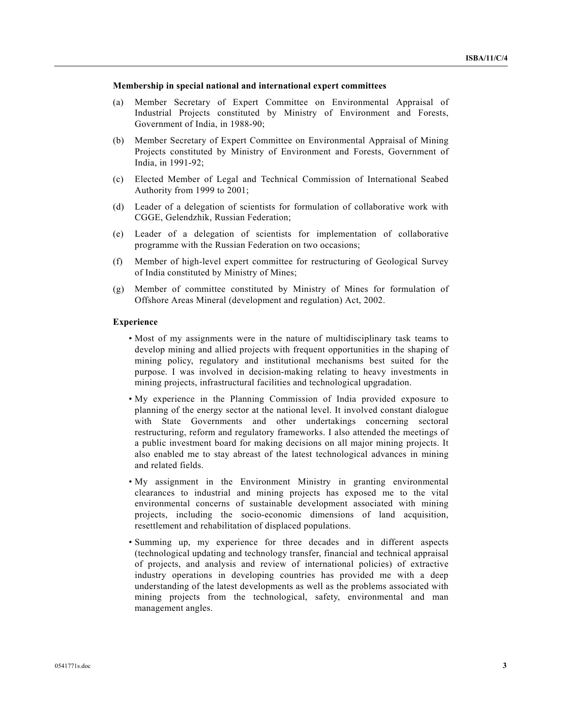#### **Membership in special national and international expert committees**

- (a) Member Secretary of Expert Committee on Environmental Appraisal of Industrial Projects constituted by Ministry of Environment and Forests, Government of India, in 1988-90;
- (b) Member Secretary of Expert Committee on Environmental Appraisal of Mining Projects constituted by Ministry of Environment and Forests, Government of India, in 1991-92;
- (c) Elected Member of Legal and Technical Commission of International Seabed Authority from 1999 to 2001;
- (d) Leader of a delegation of scientists for formulation of collaborative work with CGGE, Gelendzhik, Russian Federation;
- (e) Leader of a delegation of scientists for implementation of collaborative programme with the Russian Federation on two occasions;
- (f) Member of high-level expert committee for restructuring of Geological Survey of India constituted by Ministry of Mines;
- (g) Member of committee constituted by Ministry of Mines for formulation of Offshore Areas Mineral (development and regulation) Act, 2002.

#### **Experience**

- Most of my assignments were in the nature of multidisciplinary task teams to develop mining and allied projects with frequent opportunities in the shaping of mining policy, regulatory and institutional mechanisms best suited for the purpose. I was involved in decision-making relating to heavy investments in mining projects, infrastructural facilities and technological upgradation.
- My experience in the Planning Commission of India provided exposure to planning of the energy sector at the national level. It involved constant dialogue with State Governments and other undertakings concerning sectoral restructuring, reform and regulatory frameworks. I also attended the meetings of a public investment board for making decisions on all major mining projects. It also enabled me to stay abreast of the latest technological advances in mining and related fields.
- My assignment in the Environment Ministry in granting environmental clearances to industrial and mining projects has exposed me to the vital environmental concerns of sustainable development associated with mining projects, including the socio-economic dimensions of land acquisition, resettlement and rehabilitation of displaced populations.
- Summing up, my experience for three decades and in different aspects (technological updating and technology transfer, financial and technical appraisal of projects, and analysis and review of international policies) of extractive industry operations in developing countries has provided me with a deep understanding of the latest developments as well as the problems associated with mining projects from the technological, safety, environmental and man management angles.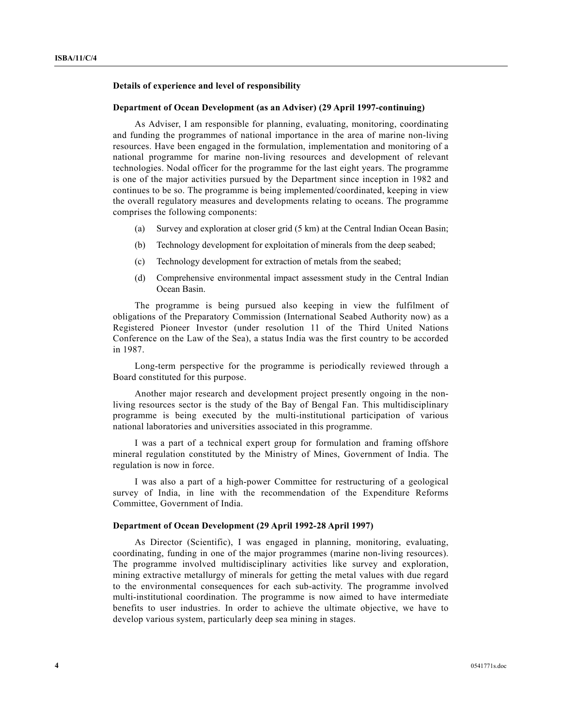## **Details of experience and level of responsibility**

#### **Department of Ocean Development (as an Adviser) (29 April 1997-continuing)**

As Adviser, I am responsible for planning, evaluating, monitoring, coordinating and funding the programmes of national importance in the area of marine non-living resources. Have been engaged in the formulation, implementation and monitoring of a national programme for marine non-living resources and development of relevant technologies. Nodal officer for the programme for the last eight years. The programme is one of the major activities pursued by the Department since inception in 1982 and continues to be so. The programme is being implemented/coordinated, keeping in view the overall regulatory measures and developments relating to oceans. The programme comprises the following components:

- (a) Survey and exploration at closer grid (5 km) at the Central Indian Ocean Basin;
- (b) Technology development for exploitation of minerals from the deep seabed;
- (c) Technology development for extraction of metals from the seabed;
- (d) Comprehensive environmental impact assessment study in the Central Indian Ocean Basin.

The programme is being pursued also keeping in view the fulfilment of obligations of the Preparatory Commission (International Seabed Authority now) as a Registered Pioneer Investor (under resolution 11 of the Third United Nations Conference on the Law of the Sea), a status India was the first country to be accorded in 1987.

Long-term perspective for the programme is periodically reviewed through a Board constituted for this purpose.

Another major research and development project presently ongoing in the nonliving resources sector is the study of the Bay of Bengal Fan. This multidisciplinary programme is being executed by the multi-institutional participation of various national laboratories and universities associated in this programme.

I was a part of a technical expert group for formulation and framing offshore mineral regulation constituted by the Ministry of Mines, Government of India. The regulation is now in force.

I was also a part of a high-power Committee for restructuring of a geological survey of India, in line with the recommendation of the Expenditure Reforms Committee, Government of India.

### **Department of Ocean Development (29 April 1992-28 April 1997)**

As Director (Scientific), I was engaged in planning, monitoring, evaluating, coordinating, funding in one of the major programmes (marine non-living resources). The programme involved multidisciplinary activities like survey and exploration, mining extractive metallurgy of minerals for getting the metal values with due regard to the environmental consequences for each sub-activity. The programme involved multi-institutional coordination. The programme is now aimed to have intermediate benefits to user industries. In order to achieve the ultimate objective, we have to develop various system, particularly deep sea mining in stages.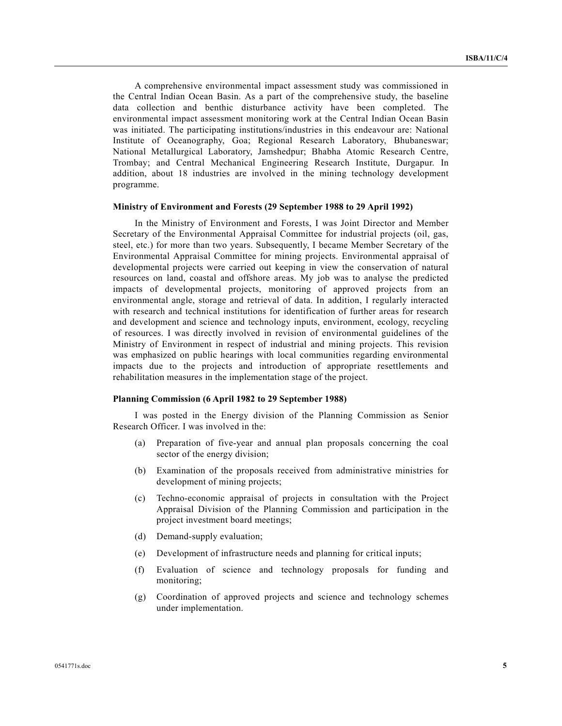A comprehensive environmental impact assessment study was commissioned in the Central Indian Ocean Basin. As a part of the comprehensive study, the baseline data collection and benthic disturbance activity have been completed. The environmental impact assessment monitoring work at the Central Indian Ocean Basin was initiated. The participating institutions/industries in this endeavour are: National Institute of Oceanography, Goa; Regional Research Laboratory, Bhubaneswar; National Metallurgical Laboratory, Jamshedpur; Bhabha Atomic Research Centre, Trombay; and Central Mechanical Engineering Research Institute, Durgapur. In addition, about 18 industries are involved in the mining technology development programme.

#### **Ministry of Environment and Forests (29 September 1988 to 29 April 1992)**

In the Ministry of Environment and Forests, I was Joint Director and Member Secretary of the Environmental Appraisal Committee for industrial projects (oil, gas, steel, etc.) for more than two years. Subsequently, I became Member Secretary of the Environmental Appraisal Committee for mining projects. Environmental appraisal of developmental projects were carried out keeping in view the conservation of natural resources on land, coastal and offshore areas. My job was to analyse the predicted impacts of developmental projects, monitoring of approved projects from an environmental angle, storage and retrieval of data. In addition, I regularly interacted with research and technical institutions for identification of further areas for research and development and science and technology inputs, environment, ecology, recycling of resources. I was directly involved in revision of environmental guidelines of the Ministry of Environment in respect of industrial and mining projects. This revision was emphasized on public hearings with local communities regarding environmental impacts due to the projects and introduction of appropriate resettlements and rehabilitation measures in the implementation stage of the project.

#### **Planning Commission (6 April 1982 to 29 September 1988)**

I was posted in the Energy division of the Planning Commission as Senior Research Officer. I was involved in the:

- (a) Preparation of five-year and annual plan proposals concerning the coal sector of the energy division;
- (b) Examination of the proposals received from administrative ministries for development of mining projects;
- (c) Techno-economic appraisal of projects in consultation with the Project Appraisal Division of the Planning Commission and participation in the project investment board meetings;
- (d) Demand-supply evaluation;
- (e) Development of infrastructure needs and planning for critical inputs;
- (f) Evaluation of science and technology proposals for funding and monitoring;
- (g) Coordination of approved projects and science and technology schemes under implementation.